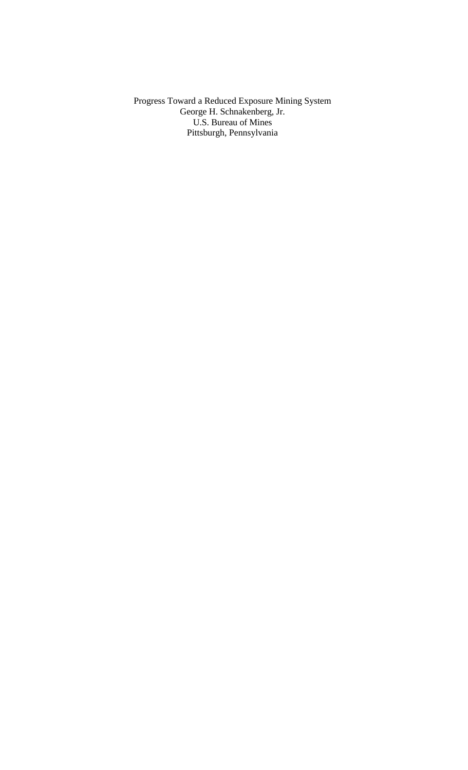Progress Toward a Reduced Exposure Mining System George H. Schnakenberg, Jr. U.S. Bureau of Mines Pittsburgh, Pennsylvania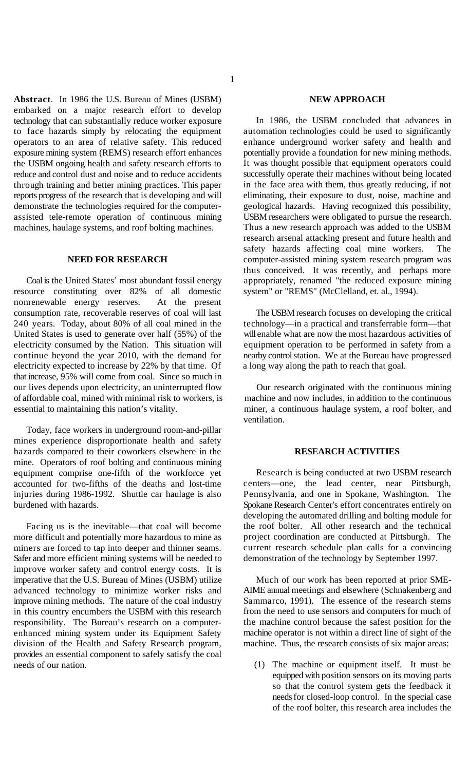1

**Abstract**. In 1986 the U.S. Bureau of Mines (USBM) **NEW APPROACH** embarked on a major research effort to develop technology that can substantially reduce worker exposure to face hazards simply by relocating the equipment operators to an area of relative safety. This reduced exposure mining system (REMS) research effort enhances the USBM ongoing health and safety research efforts to reduce and control dust and noise and to reduce accidents through training and better mining practices. This paper reports progress of the research that is developing and will demonstrate the technologies required for the computerassisted tele-remote operation of continuous mining machines, haulage systems, and roof bolting machines.

# **NEED FOR RESEARCH**

resource constituting over 82% of all domestic system" or "REMS" (McClelland, et. al., 1994). nonrenewable energy reserves. At the present consumption rate, recoverable reserves of coal will last The USBM research focuses on developing the critical 240 years. Today, about 80% of all coal mined in the technology—in a practical and transferrable form—that United States is used to generate over half (55%) of the will enable what are now the most hazardous activities of electricity consumed by the Nation. This situation will equipment operation to be performed in safety from a continue beyond the year 2010, with the demand for nearby control station. We at the Bureau have progressed continue beyond the year 2010, with the demand for electricity expected to increase by 22% by that time. Of a long way along the path to reach that goal. that increase, 95% will come from coal. Since so much in our lives depends upon electricity, an uninterrupted flow Our research originated with the continuous mining of affordable coal, mined with minimal risk to workers, is machine and now includes, in addition to the continuous essential to maintaining this nation's vitality. miner, a continuous haulage system, a roof bolter, and

Today, face workers in underground room-and-pillar mines experience disproportionate health and safety hazards compared to their coworkers elsewhere in the **RESEARCH ACTIVITIES** mine. Operators of roof bolting and continuous mining equipment comprise one-fifth of the workforce yet accounted for two-fifths of the deaths and lost-time injuries during 1986-1992. Shuttle car haulage is also burdened with hazards.

Facing us is the inevitable—that coal will become more difficult and potentially more hazardous to mine as miners are forced to tap into deeper and thinner seams. Safer and more efficient mining systems will be needed to improve worker safety and control energy costs. It is imperative that the U.S. Bureau of Mines (USBM) utilize advanced technology to minimize worker risks and improve mining methods. The nature of the coal industry in this country encumbers the USBM with this research responsibility. The Bureau's research on a computerenhanced mining system under its Equipment Safety division of the Health and Safety Research program, provides an essential component to safely satisfy the coal needs of our nation.

Coal is the United States' most abundant fossil energy appropriately, renamed "the reduced exposure mining In 1986, the USBM concluded that advances in automation technologies could be used to significantly enhance underground worker safety and health and potentially provide a foundation for new mining methods. It was thought possible that equipment operators could successfully operate their machines without being located in the face area with them, thus greatly reducing, if not eliminating, their exposure to dust, noise, machine and geological hazards. Having recognized this possibility, USBM researchers were obligated to pursue the research. Thus a new research approach was added to the USBM research arsenal attacking present and future health and safety hazards affecting coal mine workers. The computer-assisted mining system research program was thus conceived. It was recently, and perhaps more

ventilation.

Research is being conducted at two USBM research centers—one, the lead center, near Pittsburgh, Pennsylvania, and one in Spokane, Washington. The Spokane Research Center's effort concentrates entirely on developing the automated drilling and bolting module for the roof bolter. All other research and the technical project coordination are conducted at Pittsburgh. The current research schedule plan calls for a convincing demonstration of the technology by September 1997.

Much of our work has been reported at prior SME-AIME annual meetings and elsewhere (Schnakenberg and Sammarco, 1991). The essence of the research stems from the need to use sensors and computers for much of the machine control because the safest position for the machine operator is not within a direct line of sight of the machine. Thus, the research consists of six major areas:

(1) The machine or equipment itself. It must be equipped with position sensors on its moving parts so that the control system gets the feedback it needs for closed-loop control. In the special case of the roof bolter, this research area includes the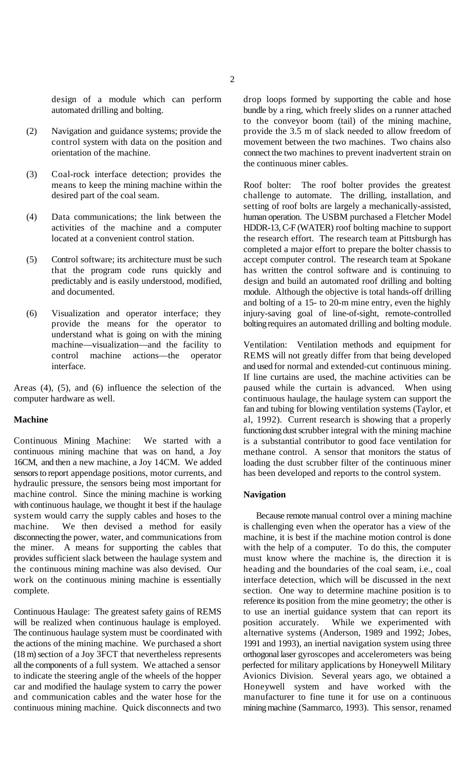- 
- (3) Coal-rock interface detection; provides the
- 
- 
- understand what is going on with the mining<br>machine—visualization—and the facility to

Continuous Mining Machine: We started with a continuous mining machine that was on hand, a Joy 16CM, and then a new machine, a Joy 14CM. We added sensors to report appendage positions, motor currents, and hydraulic pressure, the sensors being most important for machine control. Since the mining machine is working with continuous haulage, we thought it best if the haulage system would carry the supply cables and hoses to the Because remote manual control over a mining machine machine. We then devised a method for easily is challenging even when the operator has a view of the disconnecting the power, water, and communications from machine, it is best if the machine motion control is done the miner. A means for supporting the cables that with the help of a computer. To do this, the computer provides sufficient slack between the haulage system and must know where the machine is, the direction it is the continuous mining machine was also devised. Our heading and the boundaries of the coal seam, i.e., coal work on the continuous mining machine is essentially interface detection, which will be discussed in the next work on the continuous mining machine is essentially complete. section. One way to determine machine position is to

design of a module which can perform drop loops formed by supporting the cable and hose automated drilling and bolting. bundle by a ring, which freely slides on a runner attached (2) Navigation and guidance systems; provide the provide the 3.5 m of slack needed to allow freedom of control system with data on the position and movement between the two machines. Two chains also movement between the two machines. Two chains also orientation of the machine. connect the two machines to prevent inadvertent strain on to the conveyor boom (tail) of the mining machine, the continuous miner cables.

means to keep the mining machine within the Roof bolter: The roof bolter provides the greatest desired part of the coal seam.<br>
challenge to automate. The drilling, installation, and challenge to automate. The drilling, installation, and (4) Data communications; the link between the human operation. The USBM purchased a Fletcher Model activities of the machine and a computer HDDR-13, C-F (WATER) roof bolting machine to support located at a convenient control station. the research effort. The research team at Pittsburgh has (5) Control software; its architecture must be such accept computer control. The research team at Spokane that the program code runs quickly and has written the control software and is continuing to predictably and is easily understood, modified, design and build an automated roof drilling and bolting and documented. module. Although the objective is total hands-off drilling (6) Visualization and operator interface; they injury-saving goal of line-of-sight, remote-controlled provide the means for the operator to bolting requires an automated drilling and bolting module. setting of roof bolts are largely a mechanically-assisted, completed a major effort to prepare the bolter chassis to and bolting of a 15- to 20-m mine entry, even the highly

machine—visualization—and the facility to Ventilation: Ventilation methods and equipment for control machine actions—the operator REMS will not greatly differ from that being developed operator **REMS** will not greatly differ from that being developed interface. and used for normal and extended-cut continuous mining. Areas (4), (5), and (6) influence the selection of the paused while the curtain is advanced. When using computer hardware as well. continuous haulage, the haulage system can support the **Machine** al, 1992). Current research is showing that a properly If line curtains are used, the machine activities can be fan and tubing for blowing ventilation systems (Taylor, et functioning dust scrubber integral with the mining machine is a substantial contributor to good face ventilation for methane control. A sensor that monitors the status of loading the dust scrubber filter of the continuous miner has been developed and reports to the control system.

### **Navigation**

Continuous Haulage: The greatest safety gains of REMS to use an inertial guidance system that can report its will be realized when continuous haulage is employed. position accurately. While we experimented with will be realized when continuous haulage is employed. position accurately. While we experimented with The continuous haulage system must be coordinated with alternative systems (Anderson, 1989 and 1992; Jobes, the actions of the mining machine. We purchased a short 1991 and 1993), an inertial navigation system using three (18 m) section of a Joy 3FCT that nevertheless represents orthogonal laser gyroscopes and accelerometers was being all the components of a full system. We attached a sensor perfected for military applications by Honeywell Military to indicate the steering angle of the wheels of the hopper Avionics Division. Several years ago, we obtained a car and modified the haulage system to carry the power Honeywell system and have worked with the and communication cables and the water hose for the manufacturer to fine tune it for use on a continuous continuous mining machine. Quick disconnects and two mining machine (Sammarco, 1993). This sensor, renamed reference its position from the mine geometry; the other is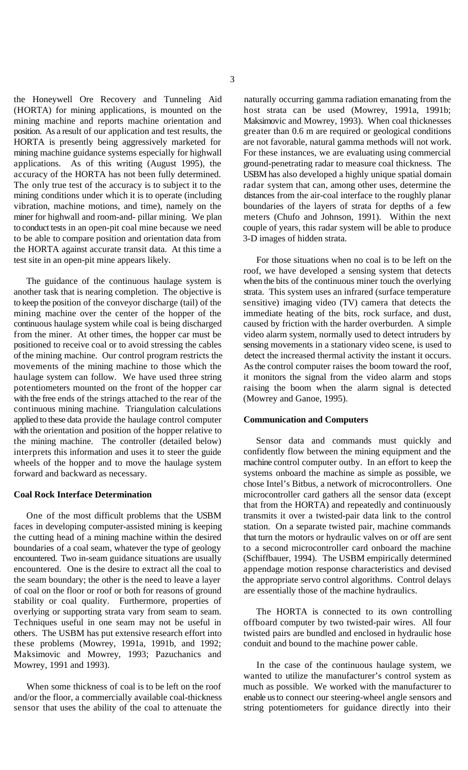(HORTA) for mining applications, is mounted on the host strata can be used (Mowrey, 1991a, 1991b; mining machine and reports machine orientation and Maksimovic and Mowrey, 1993). When coal thicknesses position. As a result of our application and test results, the greater than 0.6 m are required or geological conditions HORTA is presently being aggressively marketed for are not favorable, natural gamma methods will not work. mining machine guidance systems especially for highwall For these instances, we are evaluating using commercial applications. As of this writing (August 1995), the ground-penetrating radar to measure coal thickness. The accuracy of the HORTA has not been fully determined. USBM has also developed a highly unique spatial domain The only true test of the accuracy is to subject it to the radar system that can, among other uses, determine the mining conditions under which it is to operate (including distances from the air-coal interface to the roughly planar vibration, machine motions, and time), namely on the boundaries of the layers of strata for depths of a few miner for highwall and room-and- pillar mining. We plan meters (Chufo and Johnson, 1991). Within the next to conduct tests in an open-pit coal mine because we need couple of years, this radar system will be able to produce to be able to compare position and orientation data from 3-D images of hidden strata. the HORTA against accurate transit data. At this time a test site in an open-pit mine appears likely. For those situations when no coal is to be left on the

another task that is nearing completion. The objective is strata. This system uses an infrared (surface temperature to keep the position of the conveyor discharge (tail) of the sensitive) imaging video (TV) camera that detects the mining machine over the center of the hopper of the immediate heating of the bits, rock surface, and dust, continuous haulage system while coal is being discharged caused by friction with the harder overburden. A simple from the miner. At other times, the hopper car must be video alarm system, normally used to detect intruders by positioned to receive coal or to avoid stressing the cables sensing movements in a stationary video scene, is used to of the mining machine. Our control program restricts the detect the increased thermal activity the instant it occurs. movements of the mining machine to those which the As the control computer raises the boom toward the roof, haulage system can follow. We have used three string it monitors the signal from the video alarm and stops potentiometers mounted on the front of the hopper car raising the boom when the alarm signal is detected with the free ends of the strings attached to the rear of the (Mowrey and Ganoe, 1995). continuous mining machine. Triangulation calculations applied to these data provide the haulage control computer **Communication and Computers** with the orientation and position of the hopper relative to the mining machine. The controller (detailed below) interprets this information and uses it to steer the guide wheels of the hopper and to move the haulage system forward and backward as necessary.

## **Coal Rock Interface Determination**

faces in developing computer-assisted mining is keeping station. On a separate twisted pair, machine commands the cutting head of a mining machine within the desired that turn the motors or hydraulic valves on or off are sent boundaries of a coal seam, whatever the type of geology to a second microcontroller card onboard the machine encountered. Two in-seam guidance situations are usually (Schiffbauer, 1994). The USBM empirically determined encountered. One is the desire to extract all the coal to appendage motion response characteristics and devised the seam boundary; the other is the need to leave a layer the appropriate servo control algorithms. Control delays of coal on the floor or roof or both for reasons of ground are essentially those of the machine hydraulics. stability or coal quality. Furthermore, properties of overlying or supporting strata vary from seam to seam. The HORTA is connected to its own controlling Techniques useful in one seam may not be useful in offboard computer by two twisted-pair wires. All four others. The USBM has put extensive research effort into twisted pairs are bundled and enclosed in hydraulic hose these problems (Mowrey, 1991a, 1991b, and 1992; conduit and bound to the machine power cable. Maksimovic and Mowrey, 1993; Pazuchanics and Mowrey, 1991 and 1993). In the case of the continuous haulage system, we

the Honeywell Ore Recovery and Tunneling Aid naturally occurring gamma radiation emanating from the

The guidance of the continuous haulage system is when the bits of the continuous miner touch the overlying roof, we have developed a sensing system that detects

One of the most difficult problems that the USBM transmits it over a twisted-pair data link to the control Sensor data and commands must quickly and confidently flow between the mining equipment and the machine control computer outby. In an effort to keep the systems onboard the machine as simple as possible, we chose Intel's Bitbus, a network of microcontrollers. One microcontroller card gathers all the sensor data (except that from the HORTA) and repeatedly and continuously

When some thickness of coal is to be left on the roof much as possible. We worked with the manufacturer to and/or the floor, a commercially available coal-thickness enable us to connect our steering-wheel angle sensors and sensor that uses the ability of the coal to attenuate the string potentiometers for guidance directly into their wanted to utilize the manufacturer's control system as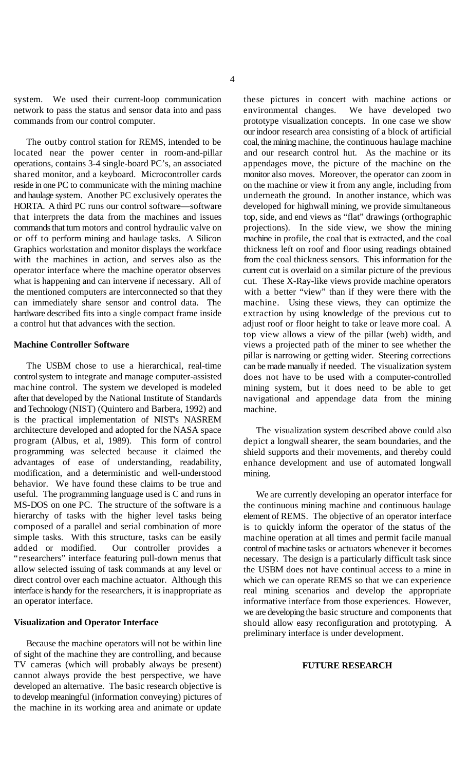system. We used their current-loop communication these pictures in concert with machine actions or network to pass the status and sensor data into and pass environmental changes. We have developed two commands from our control computer. prototype visualization concepts. In one case we show

located near the power center in room-and-pillar and our research control hut. As the machine or its operations, contains 3-4 single-board PC's, an associated appendages move, the picture of the machine on the shared monitor, and a keyboard. Microcontroller cards monitor also moves. Moreover, the operator can zoom in reside in one PC to communicate with the mining machine on the machine or view it from any angle, including from and haulage system. Another PC exclusively operates the underneath the ground. In another instance, which was HORTA. A third PC runs our control software—software developed for highwall mining, we provide simultaneous that interprets the data from the machines and issues top, side, and end views as "flat" drawings (orthographic commands that turn motors and control hydraulic valve on projections). In the side view, we show the mining or off to perform mining and haulage tasks. A Silicon machine in profile, the coal that is extracted, and the coal Graphics workstation and monitor displays the workface thickness left on roof and floor using readings obtained with the machines in action, and serves also as the from the coal thickness sensors. This information for the operator interface where the machine operator observes current cut is overlaid on a similar picture of the previous what is happening and can intervene if necessary. All of cut. These X-Ray-like views provide machine operators the mentioned computers are interconnected so that they with a better "view" than if they were there with the can immediately share sensor and control data. The machine. Using these views, they can optimize the hardware described fits into a single compact frame inside extraction by using knowledge of the previous cut to a control hut that advances with the section. adjust roof or floor height to take or leave more coal. A

The USBM chose to use a hierarchical, real-time control system to integrate and manage computer-assisted machine control. The system we developed is modeled after that developed by the National Institute of Standards and Technology (NIST) (Quintero and Barbera, 1992) and is the practical implementation of NIST's NASREM architecture developed and adopted for the NASA space program (Albus, et al, 1989). This form of control programming was selected because it claimed the advantages of ease of understanding, readability, modification, and a deterministic and well-understood behavior. We have found these claims to be true and useful. The programming language used is C and runs in MS-DOS on one PC. The structure of the software is a hierarchy of tasks with the higher level tasks being composed of a parallel and serial combination of more simple tasks. With this structure, tasks can be easily added or modified. Our controller provides a "researchers" interface featuring pull-down menus that allow selected issuing of task commands at any level or direct control over each machine actuator. Although this interface is handy for the researchers, it is inappropriate as an operator interface.

### **Visualization and Operator Interface**

Because the machine operators will not be within line of sight of the machine they are controlling, and because TV cameras (which will probably always be present) cannot always provide the best perspective, we have developed an alternative. The basic research objective is to develop meaningful (information conveying) pictures of the machine in its working area and animate or update

The outby control station for REMS, intended to be coal, the mining machine, the continuous haulage machine **Machine Controller Software** views a projected path of the miner to see whether the our indoor research area consisting of a block of artificial top view allows a view of the pillar (web) width, and pillar is narrowing or getting wider. Steering corrections can be made manually if needed. The visualization system does not have to be used with a computer-controlled mining system, but it does need to be able to get navigational and appendage data from the mining machine.

> The visualization system described above could also depict a longwall shearer, the seam boundaries, and the shield supports and their movements, and thereby could enhance development and use of automated longwall mining.

> We are currently developing an operator interface for the continuous mining machine and continuous haulage element of REMS. The objective of an operator interface is to quickly inform the operator of the status of the machine operation at all times and permit facile manual control of machine tasks or actuators whenever it becomes necessary. The design is a particularly difficult task since the USBM does not have continual access to a mine in which we can operate REMS so that we can experience real mining scenarios and develop the appropriate informative interface from those experiences. However, we are developing the basic structure and components that should allow easy reconfiguration and prototyping. A preliminary interface is under development.

# **FUTURE RESEARCH**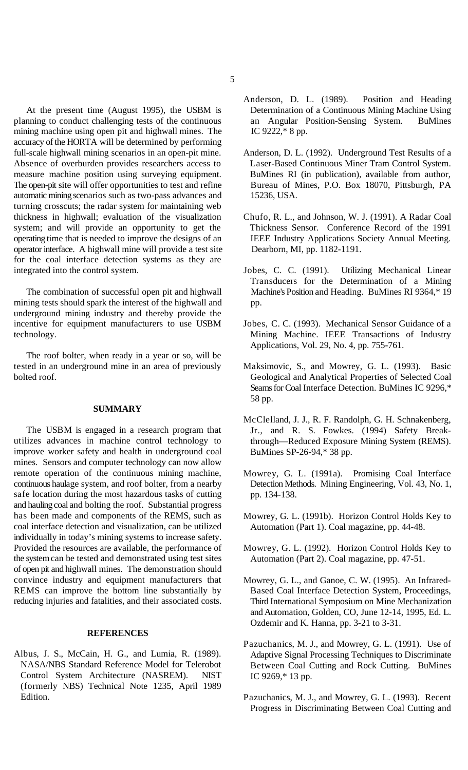planning to conduct challenging tests of the continuous an Angular Position-Sensing System. BuMines mining machine using open pit and highwall mines. The IC 9222,\* 8 pp. accuracy of the HORTA will be determined by performing full-scale highwall mining scenarios in an open-pit mine. Anderson, D. L. (1992). Underground Test Results of a Absence of overburden provides researchers access to Laser-Based Continuous Miner Tram Control System. measure machine position using surveying equipment. BuMines RI (in publication), available from author, The open-pit site will offer opportunities to test and refine Bureau of Mines, P.O. Box 18070, Pittsburgh, PA automatic mining scenarios such as two-pass advances and 15236, USA. turning crosscuts; the radar system for maintaining web thickness in highwall; evaluation of the visualization Chufo, R. L., and Johnson, W. J. (1991). A Radar Coal system; and will provide an opportunity to get the Thickness Sensor. Conference Record of the 1991 operating time that is needed to improve the designs of an IEEE Industry Applications Society Annual Meeting. operator interface. A highwall mine will provide a test site Dearborn, MI, pp. 1182-1191. for the coal interface detection systems as they are integrated into the control system. Jobes, C. C. (1991). Utilizing Mechanical Linear

mining tests should spark the interest of the highwall and pp. underground mining industry and thereby provide the incentive for equipment manufacturers to use USBM Jobes, C. C. (1993). Mechanical Sensor Guidance of a technology. Mining Machine. IEEE Transactions of Industry

The roof bolter, when ready in a year or so, will be tested in an underground mine in an area of previously Maksimovic, S., and Mowrey, G. L. (1993). Basic

## **SUMMARY**

The USBM is engaged in a research program that utilizes advances in machine control technology to improve worker safety and health in underground coal mines. Sensors and computer technology can now allow remote operation of the continuous mining machine, continuous haulage system, and roof bolter, from a nearby safe location during the most hazardous tasks of cutting and hauling coal and bolting the roof. Substantial progress has been made and components of the REMS, such as coal interface detection and visualization, can be utilized individually in today's mining systems to increase safety. Provided the resources are available, the performance of the system can be tested and demonstrated using test sites of open pit and highwall mines. The demonstration should convince industry and equipment manufacturers that REMS can improve the bottom line substantially by reducing injuries and fatalities, and their associated costs.

## **REFERENCES**

Albus, J. S., McCain, H. G., and Lumia, R. (1989). NASA/NBS Standard Reference Model for Telerobot Control System Architecture (NASREM). NIST (formerly NBS) Technical Note 1235, April 1989 Edition.

- At the present time (August 1995), the USBM is Determination of a Continuous Mining Machine Using Anderson, D. L. (1989). Position and Heading
	-
	-
- The combination of successful open pit and highwall Machine's Position and Heading. BuMines RI 9364,\*19 Transducers for the Determination of a Mining
	- Applications, Vol. 29, No. 4, pp. 755-761.
- bolted roof. Geological and Analytical Properties of Selected Coal Seams for Coal Interface Detection. BuMines IC 9296,\* 58 pp.
	- McClelland, J. J., R. F. Randolph, G. H. Schnakenberg, Jr., and R. S. Fowkes. (1994) Safety Breakthrough—Reduced Exposure Mining System (REMS). BuMines SP-26-94,\* 38 pp.
	- Mowrey, G. L. (1991a). Promising Coal Interface Detection Methods. Mining Engineering, Vol. 43, No. 1, pp. 134-138.
	- Mowrey, G. L. (1991b). Horizon Control Holds Key to Automation (Part 1). Coal magazine, pp. 44-48.
	- Mowrey, G. L. (1992). Horizon Control Holds Key to Automation (Part 2). Coal magazine, pp. 47-51.
	- Mowrey, G. L., and Ganoe, C. W. (1995). An Infrared-Based Coal Interface Detection System, Proceedings, Third International Symposium on Mine Mechanization and Automation, Golden, CO, June 12-14, 1995, Ed. L. Ozdemir and K. Hanna, pp. 3-21 to 3-31.
	- Pazuchanics, M. J., and Mowrey, G. L. (1991). Use of Adaptive Signal Processing Techniques to Discriminate Between Coal Cutting and Rock Cutting. BuMines IC 9269,\* 13 pp.
	- Pazuchanics, M. J., and Mowrey, G. L. (1993). Recent Progress in Discriminating Between Coal Cutting and